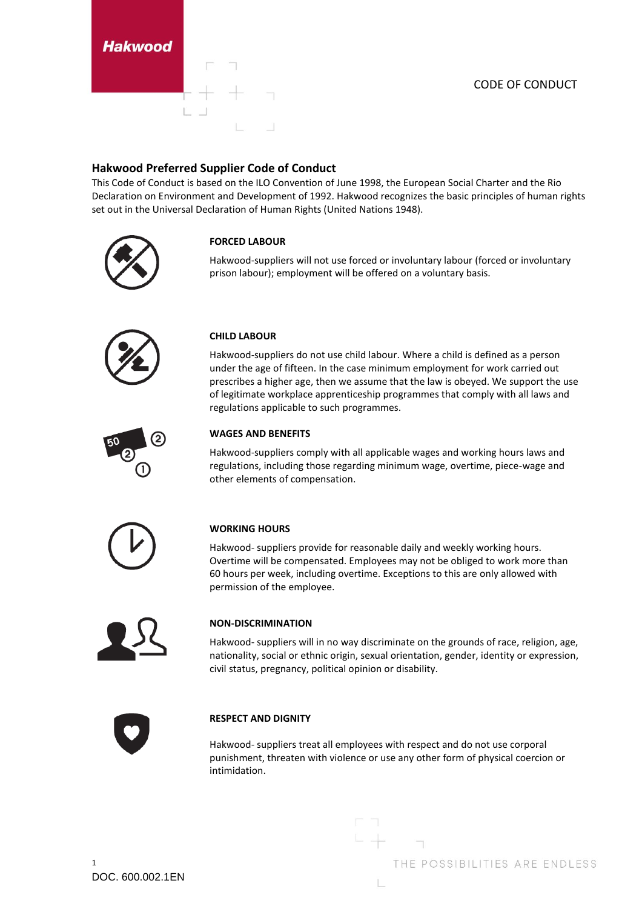#### CODE OF CONDUCT

## **Hakwood Preferred Supplier Code of Conduct**

This Code of Conduct is based on the ILO Convention of June 1998, the European Social Charter and the Rio Declaration on Environment and Development of 1992. Hakwood recognizes the basic principles of human rights set out in the Universal Declaration of Human Rights (United Nations 1948).

prison labour); employment will be offered on a voluntary basis.





# **CHILD LABOUR**

**FORCED LABOUR**

Hakwood-suppliers do not use child labour. Where a child is defined as a person under the age of fifteen. In the case minimum employment for work carried out prescribes a higher age, then we assume that the law is obeyed. We support the use of legitimate workplace apprenticeship programmes that comply with all laws and regulations applicable to such programmes.

Hakwood-suppliers will not use forced or involuntary labour (forced or involuntary



### **WAGES AND BENEFITS**

Hakwood-suppliers comply with all applicable wages and working hours laws and regulations, including those regarding minimum wage, overtime, piece-wage and other elements of compensation.



#### **WORKING HOURS**

Hakwood- suppliers provide for reasonable daily and weekly working hours. Overtime will be compensated. Employees may not be obliged to work more than 60 hours per week, including overtime. Exceptions to this are only allowed with permission of the employee.



#### **NON-DISCRIMINATION**

Hakwood- suppliers will in no way discriminate on the grounds of race, religion, age, nationality, social or ethnic origin, sexual orientation, gender, identity or expression, civil status, pregnancy, political opinion or disability.



#### **RESPECT AND DIGNITY**

Hakwood- suppliers treat all employees with respect and do not use corporal punishment, threaten with violence or use any other form of physical coercion or intimidation.